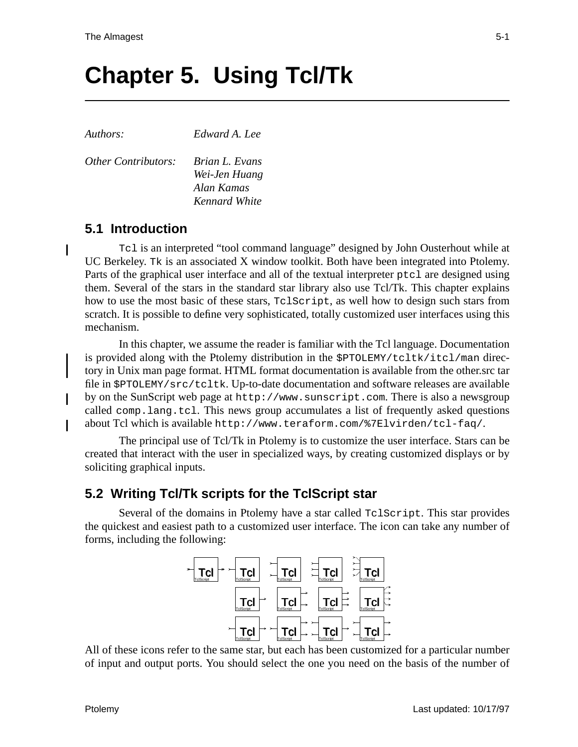# **Chapter 5. Using Tcl/Tk**

I

*Authors: Edward A. Lee*

*Other Contributors: Brian L. Evans*

*Wei-Jen Huang Alan Kamas Kennard White*

## **5.1 Introduction**

Tcl is an interpreted "tool command language" designed by John Ousterhout while at UC Berkeley. Tk is an associated X window toolkit. Both have been integrated into Ptolemy. Parts of the graphical user interface and all of the textual interpreter ptcl are designed using them. Several of the stars in the standard star library also use Tcl/Tk. This chapter explains how to use the most basic of these stars, TclScript, as well how to design such stars from scratch. It is possible to define very sophisticated, totally customized user interfaces using this mechanism.

In this chapter, we assume the reader is familiar with the Tcl language. Documentation is provided along with the Ptolemy distribution in the \$PTOLEMY/tcltk/itcl/man directory in Unix man page format. HTML format documentation is available from the other.src tar file in \$PTOLEMY/src/tcltk. Up-to-date documentation and software releases are available by on the SunScript web page at http://www.sunscript.com. There is also a newsgroup called comp.lang.tcl. This news group accumulates a list of frequently asked questions about Tcl which is available http://www.teraform.com/%7Elvirden/tcl-faq/.

The principal use of Tcl/Tk in Ptolemy is to customize the user interface. Stars can be created that interact with the user in specialized ways, by creating customized displays or by soliciting graphical inputs.

## **5.2 Writing Tcl/Tk scripts for the TclScript star**

Several of the domains in Ptolemy have a star called TclScript. This star provides the quickest and easiest path to a customized user interface. The icon can take any number of forms, including the following:



All of these icons refer to the same star, but each has been customized for a particular number of input and output ports. You should select the one you need on the basis of the number of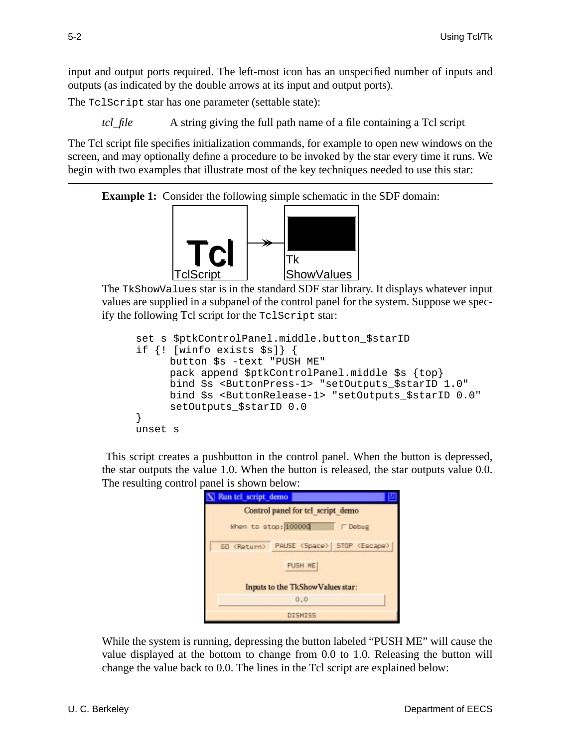input and output ports required. The left-most icon has an unspecified number of inputs and outputs (as indicated by the double arrows at its input and output ports).

The TclScript star has one parameter (settable state):

*tcl\_file* A string giving the full path name of a file containing a Tcl script

The Tcl script file specifies initialization commands, for example to open new windows on the screen, and may optionally define a procedure to be invoked by the star every time it runs. We begin with two examples that illustrate most of the key techniques needed to use this star:

**Example 1:** Consider the following simple schematic in the SDF domain:



The TkShowValues star is in the standard SDF star library. It displays whatever input values are supplied in a subpanel of the control panel for the system. Suppose we specify the following Tcl script for the TclScript star:

```
set s $ptkControlPanel.middle.button_$starID
if {! [winfo exists $s]} {
     button $s -text "PUSH ME"
     pack append $ptkControlPanel.middle $s {top}
     bind $s <ButtonPress-1> "setOutputs_$starID 1.0"
     bind $s <ButtonRelease-1> "setOutputs_$starID 0.0"
     setOutputs_$starID 0.0
}
unset s
```
This script creates a pushbutton in the control panel. When the button is depressed, the star outputs the value 1.0. When the button is released, the star outputs value 0.0. The resulting control panel is shown below:

|                                    | Run tel script demo  |  |     |                               |  |
|------------------------------------|----------------------|--|-----|-------------------------------|--|
| Control panel for tcl script demo- |                      |  |     |                               |  |
|                                    | When to stop: 100000 |  |     | <b>Dobug</b>                  |  |
|                                    | GD <return></return> |  |     | PAUSE (Space)   STOP (Escape) |  |
| <b>PUSH ME</b>                     |                      |  |     |                               |  |
| Inputs to the TkShowValues star:   |                      |  |     |                               |  |
|                                    |                      |  | 0.0 |                               |  |
| DISMISS                            |                      |  |     |                               |  |

While the system is running, depressing the button labeled "PUSH ME" will cause the value displayed at the bottom to change from 0.0 to 1.0. Releasing the button will change the value back to 0.0. The lines in the Tcl script are explained below: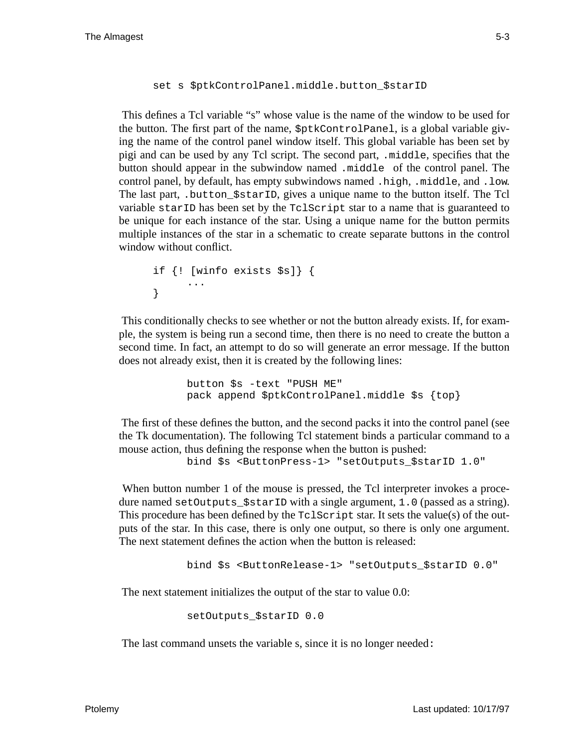#### set s \$ptkControlPanel.middle.button\_\$starID

This defines a Tcl variable "s" whose value is the name of the window to be used for the button. The first part of the name, \$ptkControlPanel, is a global variable giving the name of the control panel window itself. This global variable has been set by pigi and can be used by any Tcl script. The second part, .middle, specifies that the button should appear in the subwindow named .middle of the control panel. The control panel, by default, has empty subwindows named .high, .middle, and .low. The last part, .button\_\$starID, gives a unique name to the button itself. The Tcl variable starID has been set by the TclScript star to a name that is guaranteed to be unique for each instance of the star. Using a unique name for the button permits multiple instances of the star in a schematic to create separate buttons in the control window without conflict.

```
if {! [winfo exists $s]} {
     ...
}
```
This conditionally checks to see whether or not the button already exists. If, for example, the system is being run a second time, then there is no need to create the button a second time. In fact, an attempt to do so will generate an error message. If the button does not already exist, then it is created by the following lines:

> button \$s -text "PUSH ME" pack append \$ptkControlPanel.middle \$s {top}

The first of these defines the button, and the second packs it into the control panel (see the Tk documentation). The following Tcl statement binds a particular command to a mouse action, thus defining the response when the button is pushed:

bind \$s <ButtonPress-1> "setOutputs\_\$starID 1.0"

When button number 1 of the mouse is pressed, the Tcl interpreter invokes a procedure named setOutputs\_\$starID with a single argument, 1.0 (passed as a string). This procedure has been defined by the TclScript star. It sets the value(s) of the outputs of the star. In this case, there is only one output, so there is only one argument. The next statement defines the action when the button is released:

bind \$s <ButtonRelease-1> "setOutputs\_\$starID 0.0"

The next statement initializes the output of the star to value 0.0:

setOutputs\_\$starID 0.0

The last command unsets the variable s, since it is no longer needed: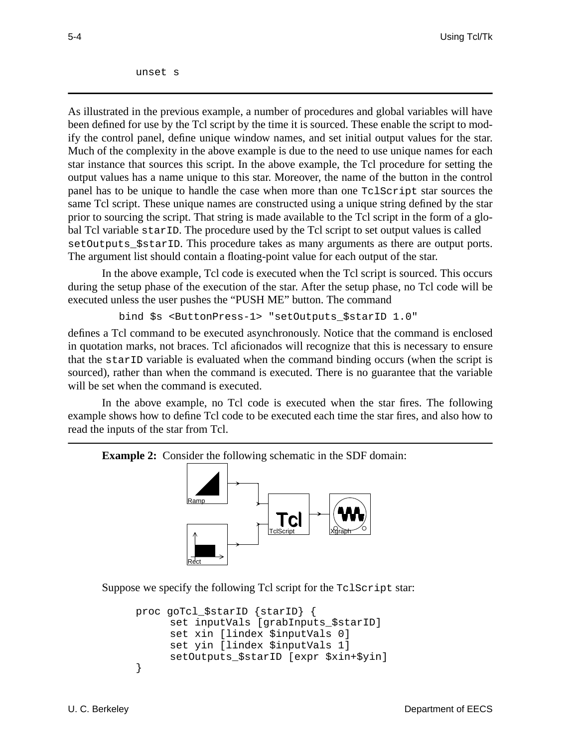unset s

As illustrated in the previous example, a number of procedures and global variables will have been defined for use by the Tcl script by the time it is sourced. These enable the script to modify the control panel, define unique window names, and set initial output values for the star. Much of the complexity in the above example is due to the need to use unique names for each star instance that sources this script. In the above example, the Tcl procedure for setting the output values has a name unique to this star. Moreover, the name of the button in the control panel has to be unique to handle the case when more than one TclScript star sources the same Tcl script. These unique names are constructed using a unique string defined by the star prior to sourcing the script. That string is made available to the Tcl script in the form of a global Tcl variable starID. The procedure used by the Tcl script to set output values is called setOutputs\_\$starID. This procedure takes as many arguments as there are output ports. The argument list should contain a floating-point value for each output of the star.

In the above example, Tcl code is executed when the Tcl script is sourced. This occurs during the setup phase of the execution of the star. After the setup phase, no Tcl code will be executed unless the user pushes the "PUSH ME" button. The command

bind \$s <ButtonPress-1> "setOutputs\_\$starID 1.0"

defines a Tcl command to be executed asynchronously. Notice that the command is enclosed in quotation marks, not braces. Tcl aficionados will recognize that this is necessary to ensure that the starID variable is evaluated when the command binding occurs (when the script is sourced), rather than when the command is executed. There is no guarantee that the variable will be set when the command is executed.

In the above example, no Tcl code is executed when the star fires. The following example shows how to define Tcl code to be executed each time the star fires, and also how to read the inputs of the star from Tcl.





Suppose we specify the following Tcl script for the TclScript star:

```
proc goTcl_$starID {starID} {
     set inputVals [grabInputs_$starID]
     set xin [lindex $inputVals 0]
     set yin [lindex $inputVals 1]
     setOutputs_$starID [expr $xin+$yin]
}
```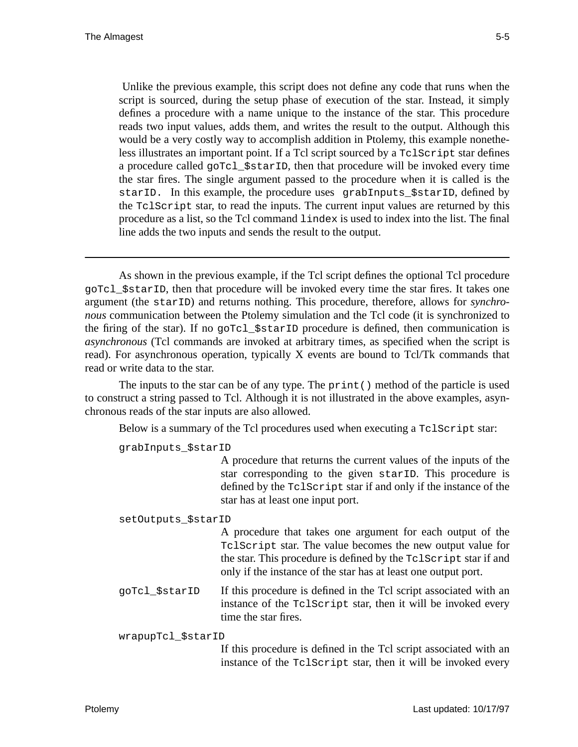Unlike the previous example, this script does not define any code that runs when the script is sourced, during the setup phase of execution of the star. Instead, it simply defines a procedure with a name unique to the instance of the star. This procedure reads two input values, adds them, and writes the result to the output. Although this would be a very costly way to accomplish addition in Ptolemy, this example nonetheless illustrates an important point. If a Tcl script sourced by a TclScript star defines a procedure called goTcl\_\$starID, then that procedure will be invoked every time the star fires. The single argument passed to the procedure when it is called is the starID. In this example, the procedure uses grabInputs SstarID, defined by the TclScript star, to read the inputs. The current input values are returned by this procedure as a list, so the Tcl command lindex is used to index into the list. The final line adds the two inputs and sends the result to the output.

As shown in the previous example, if the Tcl script defines the optional Tcl procedure goTcl\_\$starID, then that procedure will be invoked every time the star fires. It takes one argument (the starID) and returns nothing. This procedure, therefore, allows for *synchronous* communication between the Ptolemy simulation and the Tcl code (it is synchronized to the firing of the star). If no goTcl\_\$starID procedure is defined, then communication is *asynchronous* (Tcl commands are invoked at arbitrary times, as specified when the script is read). For asynchronous operation, typically X events are bound to Tcl/Tk commands that read or write data to the star.

The inputs to the star can be of any type. The  $\text{print}($ ) method of the particle is used to construct a string passed to Tcl. Although it is not illustrated in the above examples, asynchronous reads of the star inputs are also allowed.

Below is a summary of the Tcl procedures used when executing a TclScript star:

grabInputs\_\$starID

A procedure that returns the current values of the inputs of the star corresponding to the given starID. This procedure is defined by the TclScript star if and only if the instance of the star has at least one input port.

setOutputs\_\$starID

A procedure that takes one argument for each output of the TclScript star. The value becomes the new output value for the star. This procedure is defined by the TclScript star if and only if the instance of the star has at least one output port.

goTcl\_\$starID If this procedure is defined in the Tcl script associated with an instance of the TclScript star, then it will be invoked every time the star fires.

wrapupTcl\_\$starID

If this procedure is defined in the Tcl script associated with an instance of the TclScript star, then it will be invoked every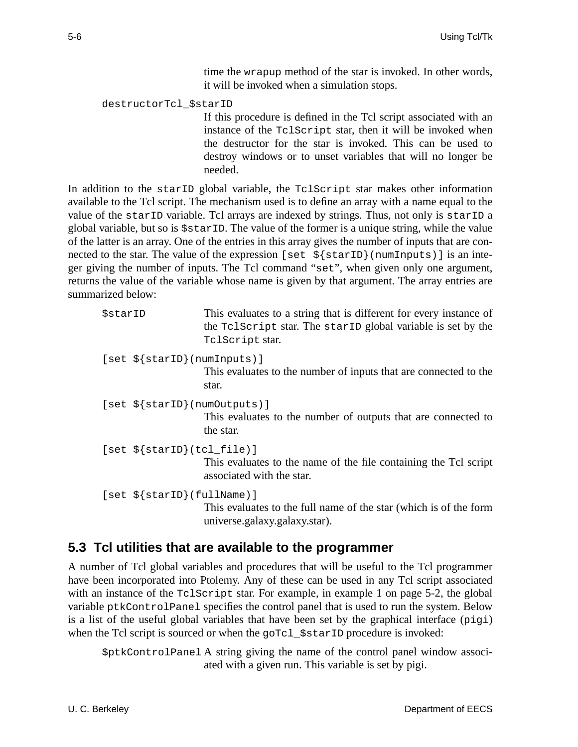time the wrapup method of the star is invoked. In other words, it will be invoked when a simulation stops.

#### destructorTcl\_\$starID

If this procedure is defined in the Tcl script associated with an instance of the TclScript star, then it will be invoked when the destructor for the star is invoked. This can be used to destroy windows or to unset variables that will no longer be needed.

In addition to the starID global variable, the TclScript star makes other information available to the Tcl script. The mechanism used is to define an array with a name equal to the value of the starID variable. Tcl arrays are indexed by strings. Thus, not only is starID a global variable, but so is \$starID. The value of the former is a unique string, while the value of the latter is an array. One of the entries in this array gives the number of inputs that are connected to the star. The value of the expression [set  $\frac{1}{2}$  {starID}(numInputs)] is an integer giving the number of inputs. The Tcl command "set", when given only one argument, returns the value of the variable whose name is given by that argument. The array entries are summarized below:

| \$starID                               | This evaluates to a string that is different for every instance of<br>the Tolscript star. The starip global variable is set by the<br>TclScript star. |
|----------------------------------------|-------------------------------------------------------------------------------------------------------------------------------------------------------|
| $[set $ {startD} (numInputStream ) ]$  | This evaluates to the number of inputs that are connected to the<br>star.                                                                             |
| $[set $ \{ startID \} (numOutputs ) ]$ | This evaluates to the number of outputs that are connected to<br>the star.                                                                            |
| $[set $ {starID} (tcl_file)]$          | This evaluates to the name of the file containing the Tcl script<br>associated with the star.                                                         |
| $[set $ {startD} (fullName)]$          | This evaluates to the full name of the star (which is of the form<br>universe.galaxy.galaxy.star).                                                    |

### **5.3 Tcl utilities that are available to the programmer**

A number of Tcl global variables and procedures that will be useful to the Tcl programmer have been incorporated into Ptolemy. Any of these can be used in any Tcl script associated with an instance of the TclScript star. For example, in example 1 on page 5-2, the global variable ptkControlPanel specifies the control panel that is used to run the system. Below is a list of the useful global variables that have been set by the graphical interface  $(piq)$ when the Tcl script is sourced or when the goTcl\_\$starID procedure is invoked:

\$ptkControlPanel A string giving the name of the control panel window associated with a given run. This variable is set by pigi.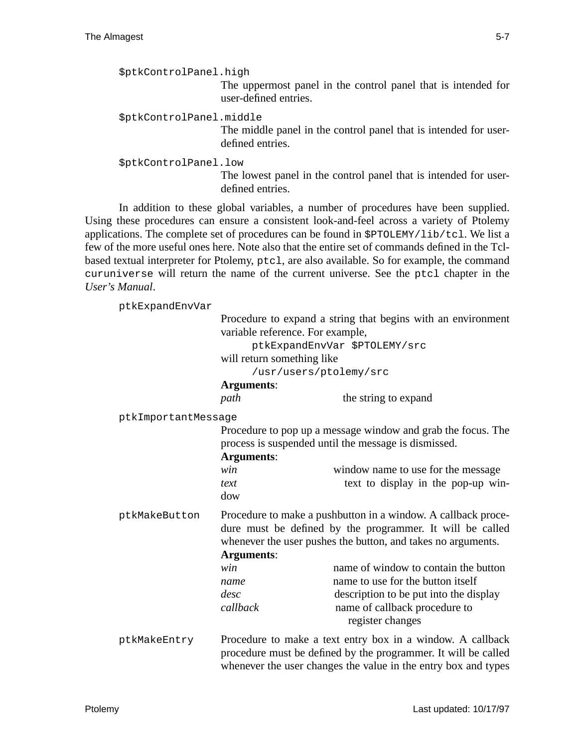```
$ptkControlPanel.high
                    The uppermost panel in the control panel that is intended for
                    user-defined entries.
$ptkControlPanel.middle
                    The middle panel in the control panel that is intended for user-
                    defined entries.
$ptkControlPanel.low
                    The lowest panel in the control panel that is intended for user-
                    defined entries.
```
In addition to these global variables, a number of procedures have been supplied. Using these procedures can ensure a consistent look-and-feel across a variety of Ptolemy applications. The complete set of procedures can be found in \$PTOLEMY/lib/tcl. We list a few of the more useful ones here. Note also that the entire set of commands defined in the Tclbased textual interpreter for Ptolemy, ptcl, are also available. So for example, the command curuniverse will return the name of the current universe. See the ptcl chapter in the *User's Manual*.

ptkExpandEnvVar

|                     | Procedure to expand a string that begins with an environment<br>variable reference. For example,                                                                                                                |                                                                                                                                                                          |  |  |
|---------------------|-----------------------------------------------------------------------------------------------------------------------------------------------------------------------------------------------------------------|--------------------------------------------------------------------------------------------------------------------------------------------------------------------------|--|--|
|                     | ptkExpandEnvVar \$PTOLEMY/src                                                                                                                                                                                   |                                                                                                                                                                          |  |  |
|                     | will return something like                                                                                                                                                                                      |                                                                                                                                                                          |  |  |
|                     | /usr/users/ptolemy/src                                                                                                                                                                                          |                                                                                                                                                                          |  |  |
|                     | <b>Arguments:</b>                                                                                                                                                                                               |                                                                                                                                                                          |  |  |
|                     | path                                                                                                                                                                                                            | the string to expand                                                                                                                                                     |  |  |
| ptkImportantMessage |                                                                                                                                                                                                                 |                                                                                                                                                                          |  |  |
|                     | Procedure to pop up a message window and grab the focus. The<br>process is suspended until the message is dismissed.<br><b>Arguments:</b>                                                                       |                                                                                                                                                                          |  |  |
|                     | win<br>text<br>dow                                                                                                                                                                                              | window name to use for the message<br>text to display in the pop-up win-                                                                                                 |  |  |
| ptkMakeButton       | Procedure to make a pushbutton in a window. A callback proce-<br>dure must be defined by the programmer. It will be called<br>whenever the user pushes the button, and takes no arguments.<br><b>Arguments:</b> |                                                                                                                                                                          |  |  |
|                     | win<br>name<br>desc<br>callback                                                                                                                                                                                 | name of window to contain the button<br>name to use for the button itself<br>description to be put into the display<br>name of callback procedure to<br>register changes |  |  |
| ptkMakeEntry        | Procedure to make a text entry box in a window. A callback<br>procedure must be defined by the programmer. It will be called<br>whenever the user changes the value in the entry box and types                  |                                                                                                                                                                          |  |  |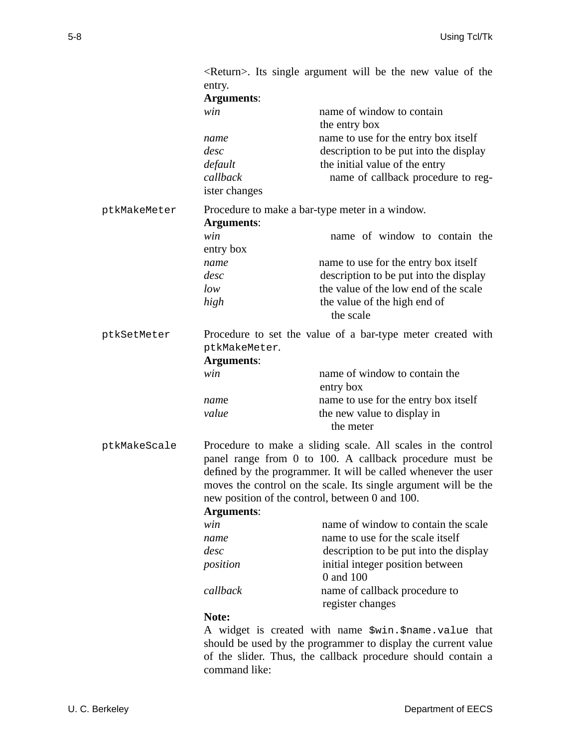|              | entry.                                                                          | $\leq$ Return $\geq$ . Its single argument will be the new value of the        |  |  |
|--------------|---------------------------------------------------------------------------------|--------------------------------------------------------------------------------|--|--|
|              | <b>Arguments:</b>                                                               |                                                                                |  |  |
|              | win                                                                             | name of window to contain<br>the entry box                                     |  |  |
|              | name<br>desc                                                                    | name to use for the entry box itself<br>description to be put into the display |  |  |
|              | default                                                                         | the initial value of the entry                                                 |  |  |
|              | callback                                                                        | name of callback procedure to reg-                                             |  |  |
|              | ister changes                                                                   |                                                                                |  |  |
| ptkMakeMeter | Procedure to make a bar-type meter in a window.                                 |                                                                                |  |  |
|              | <b>Arguments:</b>                                                               |                                                                                |  |  |
|              | win                                                                             | name of window to contain the                                                  |  |  |
|              | entry box                                                                       |                                                                                |  |  |
|              | name                                                                            | name to use for the entry box itself                                           |  |  |
|              | desc                                                                            | description to be put into the display                                         |  |  |
|              | low                                                                             | the value of the low end of the scale                                          |  |  |
|              | high                                                                            | the value of the high end of                                                   |  |  |
|              |                                                                                 | the scale                                                                      |  |  |
| ptkSetMeter  | Procedure to set the value of a bar-type meter created with                     |                                                                                |  |  |
|              | ptkMakeMeter.                                                                   |                                                                                |  |  |
|              | <b>Arguments:</b>                                                               |                                                                                |  |  |
|              | win                                                                             | name of window to contain the                                                  |  |  |
|              |                                                                                 | entry box                                                                      |  |  |
|              | name                                                                            | name to use for the entry box itself                                           |  |  |
|              | value                                                                           | the new value to display in                                                    |  |  |
|              |                                                                                 | the meter                                                                      |  |  |
| ptkMakeScale | Procedure to make a sliding scale. All scales in the control                    |                                                                                |  |  |
|              | panel range from 0 to 100. A callback procedure must be                         |                                                                                |  |  |
|              | defined by the programmer. It will be called whenever the user                  |                                                                                |  |  |
|              | moves the control on the scale. Its single argument will be the                 |                                                                                |  |  |
|              | new position of the control, between 0 and 100.                                 |                                                                                |  |  |
|              | <b>Arguments:</b>                                                               |                                                                                |  |  |
|              | win                                                                             | name of window to contain the scale                                            |  |  |
|              | name                                                                            | name to use for the scale itself                                               |  |  |
|              | desc                                                                            | description to be put into the display                                         |  |  |
|              | position                                                                        | initial integer position between                                               |  |  |
|              |                                                                                 | 0 and 100                                                                      |  |  |
|              | callback                                                                        | name of callback procedure to                                                  |  |  |
|              |                                                                                 | register changes                                                               |  |  |
|              | Note:                                                                           |                                                                                |  |  |
|              | A widget is created with name $\frac{1}{2}$ win. $\frac{1}{2}$ mame. value that |                                                                                |  |  |
|              | chould be used by the pregrammer to display the current velve                   |                                                                                |  |  |

should be used by the programmer to display the current value of the slider. Thus, the callback procedure should contain a command like: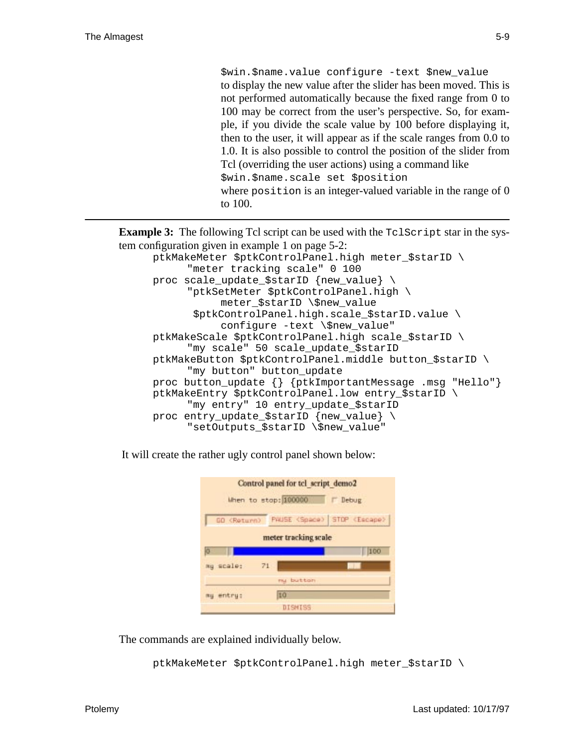\$win.\$name.value configure -text \$new\_value to display the new value after the slider has been moved. This is not performed automatically because the fixed range from 0 to 100 may be correct from the user's perspective. So, for example, if you divide the scale value by 100 before displaying it, then to the user, it will appear as if the scale ranges from 0.0 to 1.0. It is also possible to control the position of the slider from Tcl (overriding the user actions) using a command like \$win.\$name.scale set \$position where position is an integer-valued variable in the range of 0 to 100.

**Example 3:** The following Tcl script can be used with the  $TclScript$  star in the system configuration given in example 1 on page 5-2:

ptkMakeMeter \$ptkControlPanel.high meter\_\$starID \ "meter tracking scale" 0 100 proc scale\_update\_\$starID {new\_value} \ "ptkSetMeter \$ptkControlPanel.high \ meter \$starID \\$new value \$ptkControlPanel.high.scale\_\$starID.value \ configure -text \\$new value" ptkMakeScale \$ptkControlPanel.high scale\_\$starID \ "my scale" 50 scale\_update\_\$starID ptkMakeButton \$ptkControlPanel.middle button\_\$starID \ "my button" button update proc button\_update {} {ptkImportantMessage .msg "Hello"} ptkMakeEntry \$ptkControlPanel.low entry\_\$starID \ "my entry" 10 entry\_update\_\$starID proc entry\_update\_\$starID {new\_value} \ "setOutputs \$starID \\$new value"

It will create the rather ugly control panel shown below:

|                      | Control panel for tel script demo2 |                             |  |  |  |  |
|----------------------|------------------------------------|-----------------------------|--|--|--|--|
|                      | Mhen to stop: 100000               | Debug                       |  |  |  |  |
| GO <return></return> |                                    | PHUSE (Space) STOP (Escape) |  |  |  |  |
| meter tracking scale |                                    |                             |  |  |  |  |
| lo                   |                                    | 100                         |  |  |  |  |
| mu scale:            | 71                                 |                             |  |  |  |  |
|                      | nu button                          |                             |  |  |  |  |
| my entry:            | tū                                 |                             |  |  |  |  |
|                      | DISMISS                            |                             |  |  |  |  |

The commands are explained individually below.

ptkMakeMeter \$ptkControlPanel.high meter\_\$starID \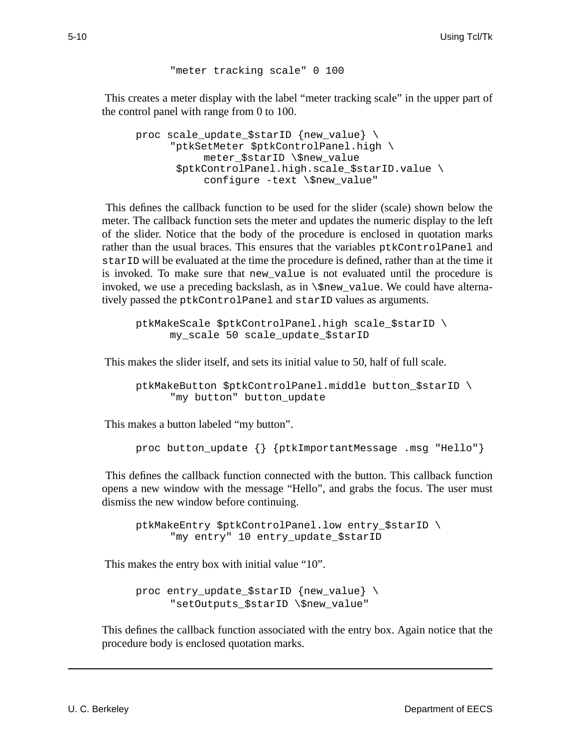```
"meter tracking scale" 0 100
```
This creates a meter display with the label "meter tracking scale" in the upper part of the control panel with range from 0 to 100.

```
proc scale_update_$starID {new_value} \
     "ptkSetMeter $ptkControlPanel.high \
           meter_$starID \$new_value
       $ptkControlPanel.high.scale_$starID.value \
           configure -text \$new_value"
```
This defines the callback function to be used for the slider (scale) shown below the meter. The callback function sets the meter and updates the numeric display to the left of the slider. Notice that the body of the procedure is enclosed in quotation marks rather than the usual braces. This ensures that the variables ptkControlPanel and starID will be evaluated at the time the procedure is defined, rather than at the time it is invoked. To make sure that new\_value is not evaluated until the procedure is invoked, we use a preceding backslash, as in  $\$ rew\_value. We could have alternatively passed the ptkControlPanel and starID values as arguments.

ptkMakeScale \$ptkControlPanel.high scale\_\$starID \ my\_scale 50 scale\_update\_\$starID

This makes the slider itself, and sets its initial value to 50, half of full scale.

ptkMakeButton \$ptkControlPanel.middle button\_\$starID \ "my button" button\_update

This makes a button labeled "my button".

proc button\_update {} {ptkImportantMessage .msg "Hello"}

This defines the callback function connected with the button. This callback function opens a new window with the message "Hello", and grabs the focus. The user must dismiss the new window before continuing.

ptkMakeEntry \$ptkControlPanel.low entry\_\$starID \ "my entry" 10 entry\_update\_\$starID

This makes the entry box with initial value "10".

proc entry\_update\_\$starID {new\_value} \ "setOutputs\_\$starID \\$new\_value"

This defines the callback function associated with the entry box. Again notice that the procedure body is enclosed quotation marks.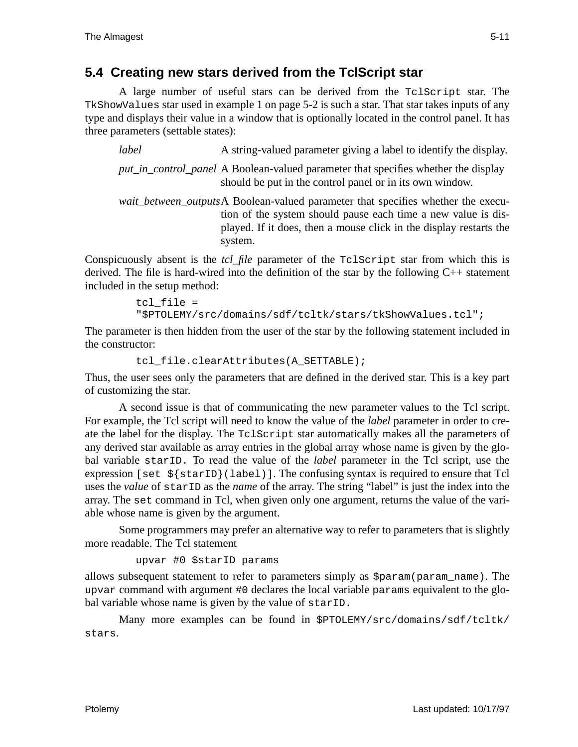## **5.4 Creating new stars derived from the TclScript star**

A large number of useful stars can be derived from the TclScript star. The TkShowValues star used in example 1 on page 5-2 is such a star. That star takes inputs of any type and displays their value in a window that is optionally located in the control panel. It has three parameters (settable states):

*label* A string-valued parameter giving a label to identify the display.

*put in control panel* A Boolean-valued parameter that specifies whether the display should be put in the control panel or in its own window.

*wait\_between\_outputs*A Boolean-valued parameter that specifies whether the execution of the system should pause each time a new value is displayed. If it does, then a mouse click in the display restarts the system.

Conspicuously absent is the *tcl\_file* parameter of the TclScript star from which this is derived. The file is hard-wired into the definition of the star by the following  $C_{++}$  statement included in the setup method:

> tcl file = "\$PTOLEMY/src/domains/sdf/tcltk/stars/tkShowValues.tcl";

The parameter is then hidden from the user of the star by the following statement included in the constructor:

```
tcl file.clearAttributes(A SETTABLE);
```
Thus, the user sees only the parameters that are defined in the derived star. This is a key part of customizing the star.

A second issue is that of communicating the new parameter values to the Tcl script. For example, the Tcl script will need to know the value of the *label* parameter in order to create the label for the display. The TclScript star automatically makes all the parameters of any derived star available as array entries in the global array whose name is given by the global variable starID. To read the value of the *label* parameter in the Tcl script, use the expression [set  $\frac{1}{5}$ [starID}(label)]. The confusing syntax is required to ensure that Tcl uses the *value* of starID as the *name* of the array. The string "label" is just the index into the array. The set command in Tcl, when given only one argument, returns the value of the variable whose name is given by the argument.

Some programmers may prefer an alternative way to refer to parameters that is slightly more readable. The Tcl statement

```
upvar #0 $starID params
```
allows subsequent statement to refer to parameters simply as \$param(param\_name). The upvar command with argument #0 declares the local variable params equivalent to the global variable whose name is given by the value of starID.

Many more examples can be found in \$PTOLEMY/src/domains/sdf/tcltk/ stars.